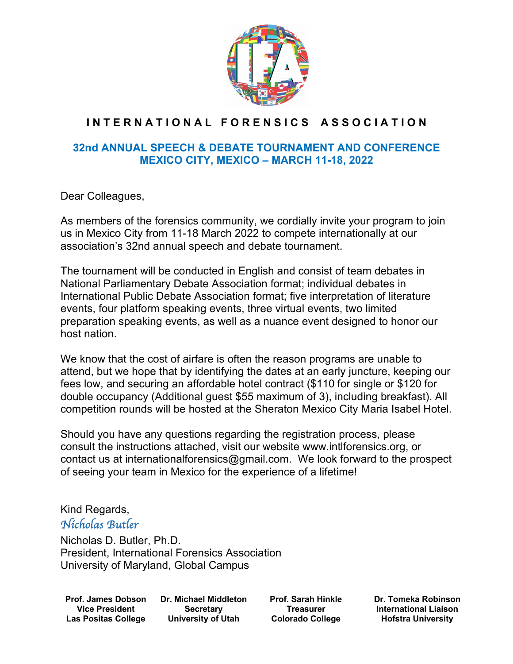

## **I N T E R N A T I O N A L F O R E N S I C S A S S O C I A T I O N**

## **32nd ANNUAL SPEECH & DEBATE TOURNAMENT AND CONFERENCE MEXICO CITY, MEXICO – MARCH 11-18, 2022**

Dear Colleagues,

As members of the forensics community, we cordially invite your program to join us in Mexico City from 11-18 March 2022 to compete internationally at our association's 32nd annual speech and debate tournament.

The tournament will be conducted in English and consist of team debates in National Parliamentary Debate Association format; individual debates in International Public Debate Association format; five interpretation of literature events, four platform speaking events, three virtual events, two limited preparation speaking events, as well as a nuance event designed to honor our host nation.

We know that the cost of airfare is often the reason programs are unable to attend, but we hope that by identifying the dates at an early juncture, keeping our fees low, and securing an affordable hotel contract (\$110 for single or \$120 for double occupancy (Additional guest \$55 maximum of 3), including breakfast). All competition rounds will be hosted at the Sheraton Mexico City Maria Isabel Hotel.

Should you have any questions regarding the registration process, please consult the instructions attached, visit our website www.intlforensics.org, or contact us at internationalforensics@gmail.com. We look forward to the prospect of seeing your team in Mexico for the experience of a lifetime!

# Kind Regards,

## *Nicholas Butler*

Nicholas D. Butler, Ph.D. President, International Forensics Association University of Maryland, Global Campus

**Prof. James Dobson Vice President Las Positas College**

**Dr. Michael Middleton Secretary University of Utah**

**Prof. Sarah Hinkle Treasurer Colorado College**

**Dr. Tomeka Robinson International Liaison Hofstra University**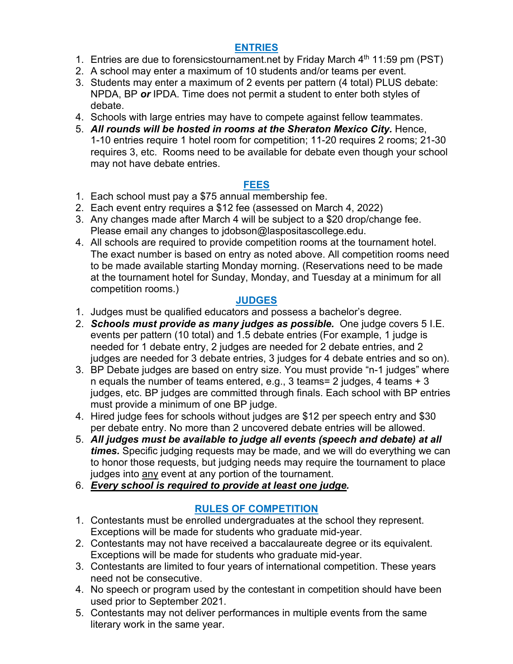## **ENTRIES**

- 1. Entries are due to forensicstournament.net by Friday March  $4<sup>th</sup>$  11:59 pm (PST)
- 2. A school may enter a maximum of 10 students and/or teams per event.
- 3. Students may enter a maximum of 2 events per pattern (4 total) PLUS debate: NPDA, BP *or* IPDA. Time does not permit a student to enter both styles of debate.
- 4. Schools with large entries may have to compete against fellow teammates.
- 5. *All rounds will be hosted in rooms at the Sheraton Mexico City.* Hence, 1-10 entries require 1 hotel room for competition; 11-20 requires 2 rooms; 21-30 requires 3, etc. Rooms need to be available for debate even though your school may not have debate entries.

#### **FEES**

- 1. Each school must pay a \$75 annual membership fee.
- 2. Each event entry requires a \$12 fee (assessed on March 4, 2022)
- 3. Any changes made after March 4 will be subject to a \$20 drop/change fee. Please email any changes to jdobson@laspositascollege.edu.
- 4. All schools are required to provide competition rooms at the tournament hotel. The exact number is based on entry as noted above. All competition rooms need to be made available starting Monday morning. (Reservations need to be made at the tournament hotel for Sunday, Monday, and Tuesday at a minimum for all competition rooms.)

#### **JUDGES**

- 1. Judges must be qualified educators and possess a bachelor's degree.
- 2. *Schools must provide as many judges as possible.* One judge covers 5 I.E. events per pattern (10 total) and 1.5 debate entries (For example, 1 judge is needed for 1 debate entry, 2 judges are needed for 2 debate entries, and 2 judges are needed for 3 debate entries, 3 judges for 4 debate entries and so on).
- 3. BP Debate judges are based on entry size. You must provide "n-1 judges" where n equals the number of teams entered, e.g., 3 teams= 2 judges, 4 teams + 3 judges, etc. BP judges are committed through finals. Each school with BP entries must provide a minimum of one BP judge.
- 4. Hired judge fees for schools without judges are \$12 per speech entry and \$30 per debate entry. No more than 2 uncovered debate entries will be allowed.
- 5. *All judges must be available to judge all events (speech and debate) at all times.* Specific judging requests may be made, and we will do everything we can to honor those requests, but judging needs may require the tournament to place judges into any event at any portion of the tournament.
- 6. *Every school is required to provide at least one judge.*

## **RULES OF COMPETITION**

- 1. Contestants must be enrolled undergraduates at the school they represent. Exceptions will be made for students who graduate mid-year.
- 2. Contestants may not have received a baccalaureate degree or its equivalent. Exceptions will be made for students who graduate mid-year.
- 3. Contestants are limited to four years of international competition. These years need not be consecutive.
- 4. No speech or program used by the contestant in competition should have been used prior to September 2021.
- 5. Contestants may not deliver performances in multiple events from the same literary work in the same year.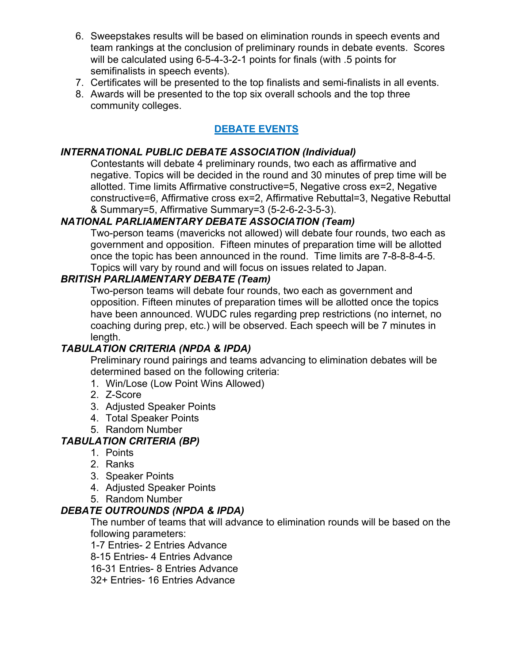- 6. Sweepstakes results will be based on elimination rounds in speech events and team rankings at the conclusion of preliminary rounds in debate events. Scores will be calculated using 6-5-4-3-2-1 points for finals (with .5 points for semifinalists in speech events).
- 7. Certificates will be presented to the top finalists and semi-finalists in all events.
- 8. Awards will be presented to the top six overall schools and the top three community colleges.

## **DEBATE EVENTS**

#### *INTERNATIONAL PUBLIC DEBATE ASSOCIATION (Individual)*

Contestants will debate 4 preliminary rounds, two each as affirmative and negative. Topics will be decided in the round and 30 minutes of prep time will be allotted. Time limits Affirmative constructive=5, Negative cross ex=2, Negative constructive=6, Affirmative cross ex=2, Affirmative Rebuttal=3, Negative Rebuttal & Summary=5, Affirmative Summary=3 (5-2-6-2-3-5-3).

#### *NATIONAL PARLIAMENTARY DEBATE ASSOCIATION (Team)*

Two-person teams (mavericks not allowed) will debate four rounds, two each as government and opposition. Fifteen minutes of preparation time will be allotted once the topic has been announced in the round. Time limits are 7-8-8-8-4-5. Topics will vary by round and will focus on issues related to Japan.

## *BRITISH PARLIAMENTARY DEBATE (Team)*

Two-person teams will debate four rounds, two each as government and opposition. Fifteen minutes of preparation times will be allotted once the topics have been announced. WUDC rules regarding prep restrictions (no internet, no coaching during prep, etc.) will be observed. Each speech will be 7 minutes in length.

#### *TABULATION CRITERIA (NPDA & IPDA)*

Preliminary round pairings and teams advancing to elimination debates will be determined based on the following criteria:

- 1. Win/Lose (Low Point Wins Allowed)
- 2. Z-Score
- 3. Adjusted Speaker Points
- 4. Total Speaker Points
- 5. Random Number

#### *TABULATION CRITERIA (BP)*

- 1. Points
- 2. Ranks
- 3. Speaker Points
- 4. Adjusted Speaker Points
- 5. Random Number

#### *DEBATE OUTROUNDS (NPDA & IPDA)*

The number of teams that will advance to elimination rounds will be based on the following parameters:

1-7 Entries- 2 Entries Advance

8-15 Entries- 4 Entries Advance

16-31 Entries- 8 Entries Advance

32+ Entries- 16 Entries Advance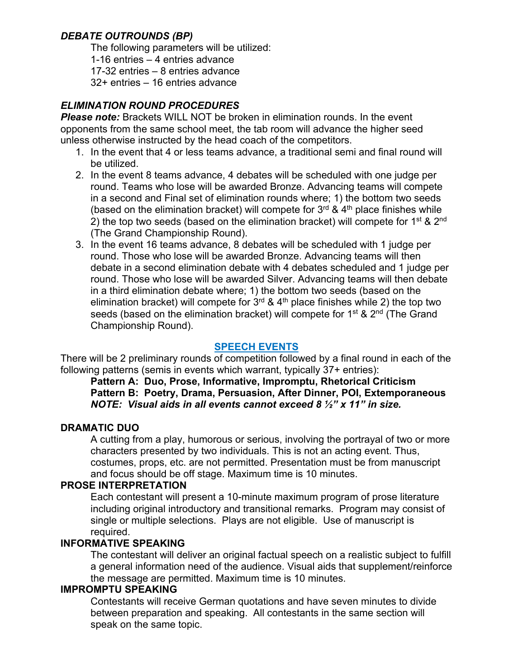## *DEBATE OUTROUNDS (BP)*

The following parameters will be utilized:

1-16 entries – 4 entries advance

17-32 entries – 8 entries advance

32+ entries – 16 entries advance

## *ELIMINATION ROUND PROCEDURES*

*Please note:* Brackets WILL NOT be broken in elimination rounds. In the event opponents from the same school meet, the tab room will advance the higher seed unless otherwise instructed by the head coach of the competitors.

- 1. In the event that 4 or less teams advance, a traditional semi and final round will be utilized.
- 2. In the event 8 teams advance, 4 debates will be scheduled with one judge per round. Teams who lose will be awarded Bronze. Advancing teams will compete in a second and Final set of elimination rounds where; 1) the bottom two seeds (based on the elimination bracket) will compete for  $3<sup>rd</sup>$  &  $4<sup>th</sup>$  place finishes while 2) the top two seeds (based on the elimination bracket) will compete for  $1^{st}$  &  $2^{nd}$ (The Grand Championship Round).
- 3. In the event 16 teams advance, 8 debates will be scheduled with 1 judge per round. Those who lose will be awarded Bronze. Advancing teams will then debate in a second elimination debate with 4 debates scheduled and 1 judge per round. Those who lose will be awarded Silver. Advancing teams will then debate in a third elimination debate where; 1) the bottom two seeds (based on the elimination bracket) will compete for  $3<sup>rd</sup>$  & 4<sup>th</sup> place finishes while 2) the top two seeds (based on the elimination bracket) will compete for  $1<sup>st</sup>$  &  $2<sup>nd</sup>$  (The Grand Championship Round).

#### **SPEECH EVENTS**

There will be 2 preliminary rounds of competition followed by a final round in each of the following patterns (semis in events which warrant, typically 37+ entries):

#### **Pattern A: Duo, Prose, Informative, Impromptu, Rhetorical Criticism Pattern B: Poetry, Drama, Persuasion, After Dinner, POI, Extemporaneous** *NOTE: Visual aids in all events cannot exceed 8 ½" x 11" in size.*

#### **DRAMATIC DUO**

A cutting from a play, humorous or serious, involving the portrayal of two or more characters presented by two individuals. This is not an acting event. Thus, costumes, props, etc. are not permitted. Presentation must be from manuscript and focus should be off stage. Maximum time is 10 minutes.

#### **PROSE INTERPRETATION**

Each contestant will present a 10-minute maximum program of prose literature including original introductory and transitional remarks. Program may consist of single or multiple selections. Plays are not eligible. Use of manuscript is required.

#### **INFORMATIVE SPEAKING**

The contestant will deliver an original factual speech on a realistic subject to fulfill a general information need of the audience. Visual aids that supplement/reinforce the message are permitted. Maximum time is 10 minutes.

#### **IMPROMPTU SPEAKING**

Contestants will receive German quotations and have seven minutes to divide between preparation and speaking. All contestants in the same section will speak on the same topic.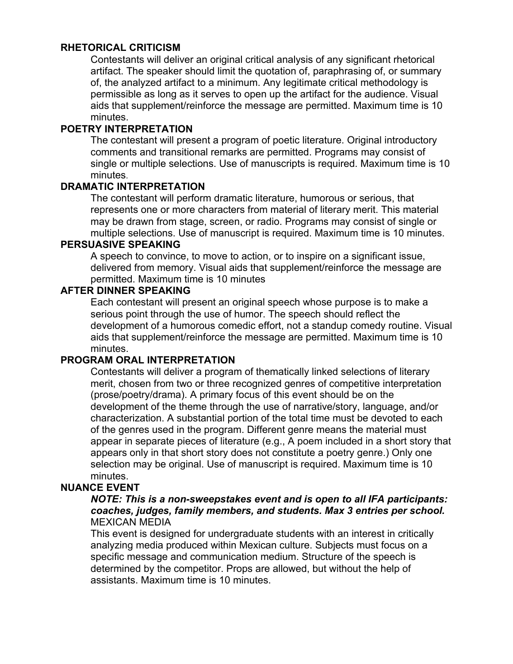#### **RHETORICAL CRITICISM**

Contestants will deliver an original critical analysis of any significant rhetorical artifact. The speaker should limit the quotation of, paraphrasing of, or summary of, the analyzed artifact to a minimum. Any legitimate critical methodology is permissible as long as it serves to open up the artifact for the audience. Visual aids that supplement/reinforce the message are permitted. Maximum time is 10 minutes.

#### **POETRY INTERPRETATION**

The contestant will present a program of poetic literature. Original introductory comments and transitional remarks are permitted. Programs may consist of single or multiple selections. Use of manuscripts is required. Maximum time is 10 minutes.

#### **DRAMATIC INTERPRETATION**

The contestant will perform dramatic literature, humorous or serious, that represents one or more characters from material of literary merit. This material may be drawn from stage, screen, or radio. Programs may consist of single or multiple selections. Use of manuscript is required. Maximum time is 10 minutes.

#### **PERSUASIVE SPEAKING**

A speech to convince, to move to action, or to inspire on a significant issue, delivered from memory. Visual aids that supplement/reinforce the message are permitted. Maximum time is 10 minutes

#### **AFTER DINNER SPEAKING**

Each contestant will present an original speech whose purpose is to make a serious point through the use of humor. The speech should reflect the development of a humorous comedic effort, not a standup comedy routine. Visual aids that supplement/reinforce the message are permitted. Maximum time is 10 minutes.

#### **PROGRAM ORAL INTERPRETATION**

Contestants will deliver a program of thematically linked selections of literary merit, chosen from two or three recognized genres of competitive interpretation (prose/poetry/drama). A primary focus of this event should be on the development of the theme through the use of narrative/story, language, and/or characterization. A substantial portion of the total time must be devoted to each of the genres used in the program. Different genre means the material must appear in separate pieces of literature (e.g., A poem included in a short story that appears only in that short story does not constitute a poetry genre.) Only one selection may be original. Use of manuscript is required. Maximum time is 10 minutes.

#### **NUANCE EVENT**

#### *NOTE: This is a non-sweepstakes event and is open to all IFA participants: coaches, judges, family members, and students. Max 3 entries per school.* MEXICAN MEDIA

This event is designed for undergraduate students with an interest in critically analyzing media produced within Mexican culture. Subjects must focus on a specific message and communication medium. Structure of the speech is determined by the competitor. Props are allowed, but without the help of assistants. Maximum time is 10 minutes.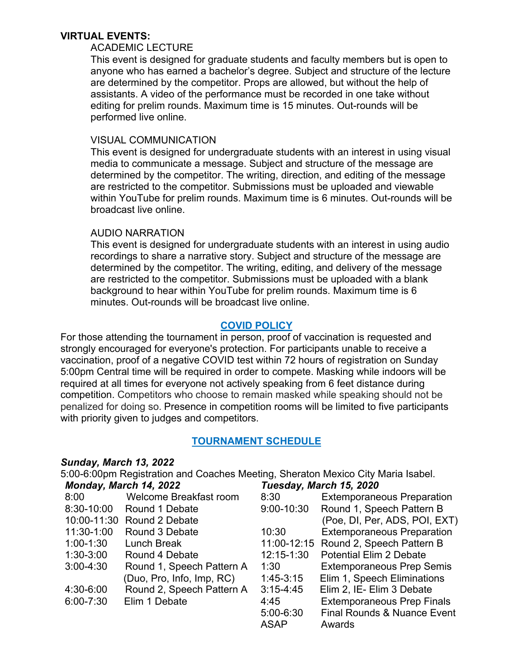#### **VIRTUAL EVENTS:**

#### ACADEMIC LECTURE

This event is designed for graduate students and faculty members but is open to anyone who has earned a bachelor's degree. Subject and structure of the lecture are determined by the competitor. Props are allowed, but without the help of assistants. A video of the performance must be recorded in one take without editing for prelim rounds. Maximum time is 15 minutes. Out-rounds will be performed live online.

#### VISUAL COMMUNICATION

This event is designed for undergraduate students with an interest in using visual media to communicate a message. Subject and structure of the message are determined by the competitor. The writing, direction, and editing of the message are restricted to the competitor. Submissions must be uploaded and viewable within YouTube for prelim rounds. Maximum time is 6 minutes. Out-rounds will be broadcast live online.

#### AUDIO NARRATION

This event is designed for undergraduate students with an interest in using audio recordings to share a narrative story. Subject and structure of the message are determined by the competitor. The writing, editing, and delivery of the message are restricted to the competitor. Submissions must be uploaded with a blank background to hear within YouTube for prelim rounds. Maximum time is 6 minutes. Out-rounds will be broadcast live online.

#### **COVID POLICY**

For those attending the tournament in person, proof of vaccination is requested and strongly encouraged for everyone's protection. For participants unable to receive a vaccination, proof of a negative COVID test within 72 hours of registration on Sunday 5:00pm Central time will be required in order to compete. Masking while indoors will be required at all times for everyone not actively speaking from 6 feet distance during competition. Competitors who choose to remain masked while speaking should not be penalized for doing so. Presence in competition rooms will be limited to five participants with priority given to judges and competitors.

#### **TOURNAMENT SCHEDULE**

#### *Sunday, March 13, 2022*

5:00-6:00pm Registration and Coaches Meeting, Sheraton Mexico City Maria Isabel. *Monday, March 14, 2022 Tuesday, March 15, 2020*

| <i>IVIVIIVAY, IVIAIVII 14, LULL</i> |                               | TUCSUAY, MATCH TV, ZUZU |                                        |  |  |
|-------------------------------------|-------------------------------|-------------------------|----------------------------------------|--|--|
| 8:00                                | <b>Welcome Breakfast room</b> | 8:30                    | <b>Extemporaneous Preparation</b>      |  |  |
| 8:30-10:00                          | Round 1 Debate                | 9:00-10:30              | Round 1, Speech Pattern B              |  |  |
|                                     | 10:00-11:30 Round 2 Debate    |                         | (Poe, DI, Per, ADS, POI, EXT)          |  |  |
| 11:30-1:00                          | Round 3 Debate                | 10:30                   | <b>Extemporaneous Preparation</b>      |  |  |
| $1:00-1:30$                         | Lunch Break                   |                         | 11:00-12:15 Round 2, Speech Pattern B  |  |  |
| $1:30-3:00$                         | Round 4 Debate                | 12:15-1:30              | <b>Potential Elim 2 Debate</b>         |  |  |
| $3:00 - 4:30$                       | Round 1, Speech Pattern A     | 1:30                    | <b>Extemporaneous Prep Semis</b>       |  |  |
|                                     | (Duo, Pro, Info, Imp, RC)     | $1:45-3:15$             | Elim 1, Speech Eliminations            |  |  |
| 4:30-6:00                           | Round 2, Speech Pattern A     | $3:15 - 4:45$           | Elim 2, IE- Elim 3 Debate              |  |  |
| $6:00 - 7:30$                       | Elim 1 Debate                 | 4:45                    | <b>Extemporaneous Prep Finals</b>      |  |  |
|                                     |                               | $5:00 - 6:30$           | <b>Final Rounds &amp; Nuance Event</b> |  |  |
|                                     |                               | <b>ASAP</b>             | Awards                                 |  |  |